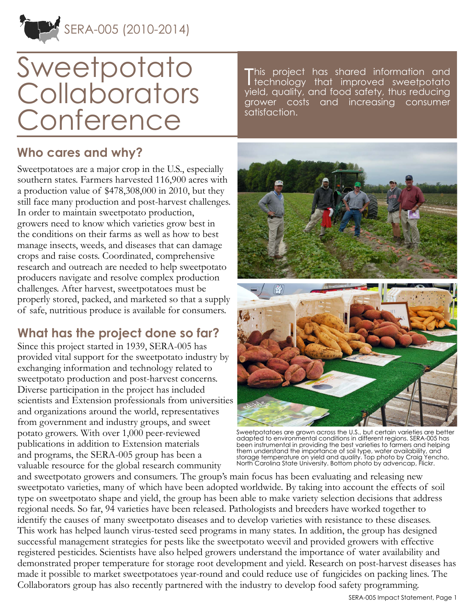

# **Sweetpotato Collaborators Conference**

#### **Who cares and why?**

Sweetpotatoes are a major crop in the U.S., especially southern states. Farmers harvested 116,900 acres with a production value of \$478,308,000 in 2010, but they still face many production and post-harvest challenges. In order to maintain sweetpotato production, growers need to know which varieties grow best in the conditions on their farms as well as how to best manage insects, weeds, and diseases that can damage crops and raise costs. Coordinated, comprehensive research and outreach are needed to help sweetpotato producers navigate and resolve complex production challenges. After harvest, sweetpotatoes must be properly stored, packed, and marketed so that a supply of safe, nutritious produce is available for consumers.

### **What has the project done so far?**

Since this project started in 1939, SERA-005 has provided vital support for the sweetpotato industry by exchanging information and technology related to sweetpotato production and post-harvest concerns. Diverse participation in the project has included scientists and Extension professionals from universities and organizations around the world, representatives from government and industry groups, and sweet potato growers. With over 1,000 peer-reviewed publications in addition to Extension materials and programs, the SERA-005 group has been a valuable resource for the global research community

T his project has shared information and technology that improved sweetpotato yield, quality, and food safety, thus reducing grower costs and increasing consumer satisfaction.



Sweetpotatoes are grown across the U.S., but certain varieties are better adapted to environmental conditions in different regions. SERA-005 has been instrumental in providing the best varieties to farmers and helping them understand the importance of soil type, water availability, and storage temperature on yield and quality. Top photo by Craig Yencho, North Carolina State University. Bottom photo by advencap, Flickr.

and sweetpotato growers and consumers. The group's main focus has been evaluating and releasing new sweetpotato varieties, many of which have been adopted worldwide. By taking into account the effects of soil type on sweetpotato shape and yield, the group has been able to make variety selection decisions that address regional needs. So far, 94 varieties have been released. Pathologists and breeders have worked together to identify the causes of many sweetpotato diseases and to develop varieties with resistance to these diseases. This work has helped launch virus-tested seed programs in many states. In addition, the group has designed successful management strategies for pests like the sweetpotato weevil and provided growers with effective registered pesticides. Scientists have also helped growers understand the importance of water availability and demonstrated proper temperature for storage root development and yield. Research on post-harvest diseases has made it possible to market sweetpotatoes year-round and could reduce use of fungicides on packing lines. The Collaborators group has also recently partnered with the industry to develop food safety programming.